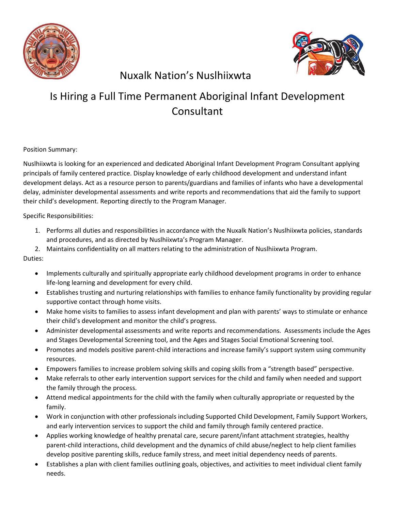



## Nuxalk Nation's Nuslhiixwta

## Is Hiring a Full Time Permanent Aboriginal Infant Development **Consultant**

Position Summary:

Nuslhiixwta is looking for an experienced and dedicated Aboriginal Infant Development Program Consultant applying principals of family centered practice. Display knowledge of early childhood development and understand infant development delays. Act as a resource person to parents/guardians and families of infants who have a developmental delay, administer developmental assessments and write reports and recommendations that aid the family to support their child's development. Reporting directly to the Program Manager.

Specific Responsibilities:

- 1. Performs all duties and responsibilities in accordance with the Nuxalk Nation's Nuslhiixwta policies, standards and procedures, and as directed by Nuslhiixwta's Program Manager.
- 2. Maintains confidentiality on all matters relating to the administration of Nuslhiixwta Program.

Duties:

- Implements culturally and spiritually appropriate early childhood development programs in order to enhance life-long learning and development for every child.
- Establishes trusting and nurturing relationships with families to enhance family functionality by providing regular supportive contact through home visits.
- Make home visits to families to assess infant development and plan with parents' ways to stimulate or enhance their child's development and monitor the child's progress.
- Administer developmental assessments and write reports and recommendations. Assessments include the Ages and Stages Developmental Screening tool, and the Ages and Stages Social Emotional Screening tool.
- Promotes and models positive parent-child interactions and increase family's support system using community resources.
- Empowers families to increase problem solving skills and coping skills from a "strength based" perspective.
- Make referrals to other early intervention support services for the child and family when needed and support the family through the process.
- Attend medical appointments for the child with the family when culturally appropriate or requested by the family.
- Work in conjunction with other professionals including Supported Child Development, Family Support Workers, and early intervention services to support the child and family through family centered practice.
- Applies working knowledge of healthy prenatal care, secure parent/infant attachment strategies, healthy parent-child interactions, child development and the dynamics of child abuse/neglect to help client families develop positive parenting skills, reduce family stress, and meet initial dependency needs of parents.
- Establishes a plan with client families outlining goals, objectives, and activities to meet individual client family needs.